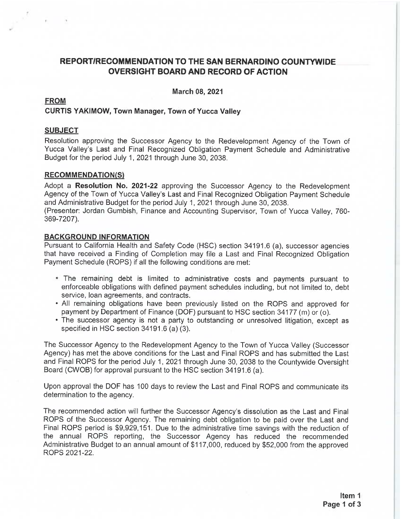# REPORT/RECOMMENDATION TO THE SAN BERNARDINO COUNTYWIDE **OVERSIGHT BOARD AND RECORD OF ACTION**

March 08, 2021

# **FROM**

# **CURTIS YAKIMOW, Town Manager, Town of Yucca Valley**

# **SUBJECT**

Resolution approving the Successor Agency to the Redevelopment Agency of the Town of Yucca Valley's Last and Final Recognized Obligation Payment Schedule and Administrative Budget for the period July 1, 2021 through June 30, 2038.

# **RECOMMENDATION(S)**

Adopt a Resolution No. 2021-22 approving the Successor Agency to the Redevelopment Agency of the Town of Yucca Valley's Last and Final Recognized Obligation Payment Schedule and Administrative Budget for the period July 1, 2021 through June 30, 2038.

(Presenter: Jordan Gumbish, Finance and Accounting Supervisor, Town of Yucca Valley, 760-369-7207).

# **BACKGROUND INFORMATION**

Pursuant to California Health and Safety Code (HSC) section 34191.6 (a), successor agencies that have received a Finding of Completion may file a Last and Final Recognized Obligation Payment Schedule (ROPS) if all the following conditions are met:

- The remaining debt is limited to administrative costs and payments pursuant to enforceable obligations with defined payment schedules including, but not limited to, debt service, loan agreements, and contracts.
- . All remaining obligations have been previously listed on the ROPS and approved for payment by Department of Finance (DOF) pursuant to HSC section 34177 (m) or (o).
- The successor agency is not a party to outstanding or unresolved litigation, except as specified in HSC section 34191.6 (a) (3).

The Successor Agency to the Redevelopment Agency to the Town of Yucca Valley (Successor Agency) has met the above conditions for the Last and Final ROPS and has submitted the Last and Final ROPS for the period July 1, 2021 through June 30, 2038 to the Countywide Oversight Board (CWOB) for approval pursuant to the HSC section 34191.6 (a).

Upon approval the DOF has 100 days to review the Last and Final ROPS and communicate its determination to the agency.

The recommended action will further the Successor Agency's dissolution as the Last and Final ROPS of the Successor Agency. The remaining debt obligation to be paid over the Last and Final ROPS period is \$9,929,151. Due to the administrative time savings with the reduction of the annual ROPS reporting, the Successor Agency has reduced the recommended Administrative Budget to an annual amount of \$117,000, reduced by \$52,000 from the approved ROPS 2021-22.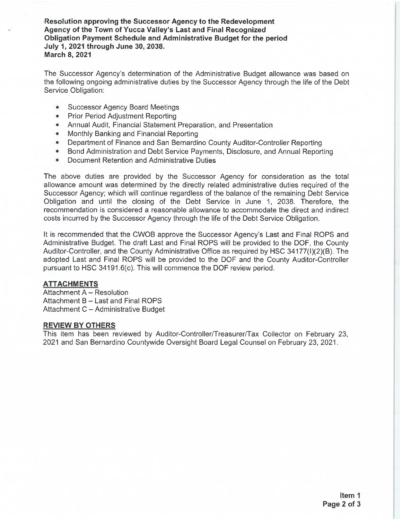Resolution approving the Successor Agency to the Redevelopment Agency of the Town of Yucca Valley's Last and Final Recognized Obligation Payment Schedule and Administrative Budget for the period July 1, 2021 through June 30, 2038. **March 8, 2021** 

The Successor Agency's determination of the Administrative Budget allowance was based on the following ongoing administrative duties by the Successor Agency through the life of the Debt Service Obligation:

- **Successor Agency Board Meetings**  $\bullet$
- **Prior Period Adiustment Reporting** ۰
- Annual Audit, Financial Statement Preparation, and Presentation  $\bullet$
- Monthly Banking and Financial Reporting  $\bullet$
- Department of Finance and San Bernardino County Auditor-Controller Reporting ÷.
- Bond Administration and Debt Service Payments, Disclosure, and Annual Reporting
- Document Retention and Administrative Duties ٠

The above duties are provided by the Successor Agency for consideration as the total allowance amount was determined by the directly related administrative duties required of the Successor Agency; which will continue regardless of the balance of the remaining Debt Service Obligation and until the closing of the Debt Service in June 1, 2038. Therefore, the recommendation is considered a reasonable allowance to accommodate the direct and indirect costs incurred by the Successor Agency through the life of the Debt Service Obligation.

It is recommended that the CWOB approve the Successor Agency's Last and Final ROPS and Administrative Budget. The draft Last and Final ROPS will be provided to the DOF, the County Auditor-Controller, and the County Administrative Office as required by HSC 34177(I)(2)(B). The adopted Last and Final ROPS will be provided to the DOF and the County Auditor-Controller pursuant to HSC 34191.6(c). This will commence the DOF review period.

# **ATTACHMENTS**

Attachment A - Resolution Attachment B - Last and Final ROPS Attachment C - Administrative Budget

### **REVIEW BY OTHERS**

This item has been reviewed by Auditor-Controller/Treasurer/Tax Collector on February 23, 2021 and San Bernardino Countywide Oversight Board Legal Counsel on February 23, 2021.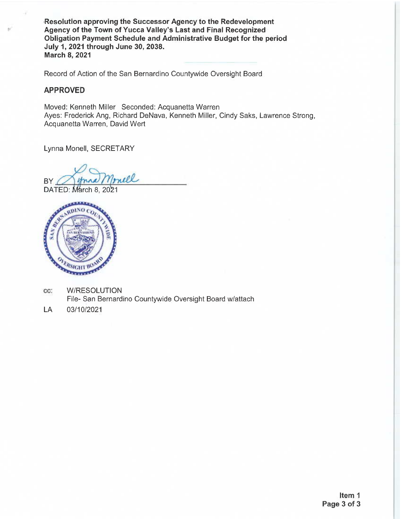Resolution approving the Successor Agency to the Redevelopment Agency of the Town of Yucca Valley's Last and Final Recognized Obligation Payment Schedule and Administrative Budget for the period July 1, 2021 through June 30, 2038. **March 8, 2021** 

Record of Action of the San Bernardino Countywide Oversight Board

# **APPROVED**

Moved: Kenneth Miller Seconded: Acquanetta Warren Ayes: Frederick Ang, Richard DeNava, Kenneth Miller, Cindy Saks, Lawrence Strong, Acquanetta Warren, David Wert

Lynna Monell, SECRETARY

mell  $BY/$ 

DATED: March 8, 2021



- **W/RESOLUTION** CC: File- San Bernardino Countywide Oversight Board w/attach
- LA 03/10/2021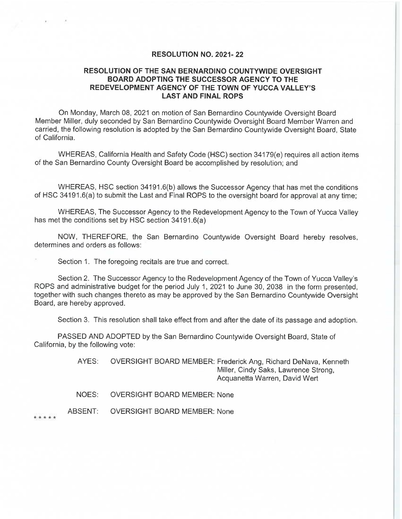### **RESOLUTION NO. 2021-22**

# RESOLUTION OF THE SAN BERNARDINO COUNTYWIDE OVERSIGHT BOARD ADOPTING THE SUCCESSOR AGENCY TO THE REDEVELOPMENT AGENCY OF THE TOWN OF YUCCA VALLEY'S **LAST AND FINAL ROPS**

On Monday, March 08, 2021 on motion of San Bernardino Countywide Oversight Board Member Miller, duly seconded by San Bernardino Countywide Oversight Board Member Warren and carried, the following resolution is adopted by the San Bernardino Countywide Oversight Board, State of California.

WHEREAS, California Health and Safety Code (HSC) section 34179(e) requires all action items of the San Bernardino County Oversight Board be accomplished by resolution; and

WHEREAS, HSC section 34191.6(b) allows the Successor Agency that has met the conditions of HSC 34191.6(a) to submit the Last and Final ROPS to the oversight board for approval at any time;

WHEREAS, The Successor Agency to the Redevelopment Agency to the Town of Yucca Valley has met the conditions set by HSC section 34191.6(a)

NOW, THEREFORE, the San Bernardino Countywide Oversight Board hereby resolves, determines and orders as follows:

Section 1. The foregoing recitals are true and correct.

Section 2. The Successor Agency to the Redevelopment Agency of the Town of Yucca Valley's ROPS and administrative budget for the period July 1, 2021 to June 30, 2038 in the form presented. together with such changes thereto as may be approved by the San Bernardino Countywide Oversight Board, are hereby approved.

Section 3. This resolution shall take effect from and after the date of its passage and adoption.

PASSED AND ADOPTED by the San Bernardino Countywide Oversight Board, State of California, by the following vote:

> AYES: OVERSIGHT BOARD MEMBER: Frederick Ang, Richard DeNava, Kenneth Miller, Cindy Saks, Lawrence Strong, Acquanetta Warren, David Wert

NOES: **OVERSIGHT BOARD MEMBER: None** 

ABSENT: **OVERSIGHT BOARD MEMBER: None** 

\* \* \* \* \*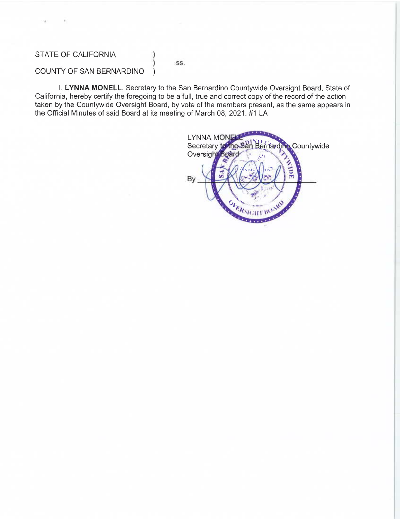# STATE OF CALIFORNIA

### SS.

J,

# COUNTY OF SAN BERNARDINO

I, LYNNA MONELL, Secretary to the San Bernardino Countywide Oversight Board, State of California, hereby certify the foregoing to be a full, true and correct copy of the record of the action taken by the Countywide Oversight Board, by vote of the members present, as the same appears in the Official Minutes of said Board at its meeting of March 08, 2021. #1 LA

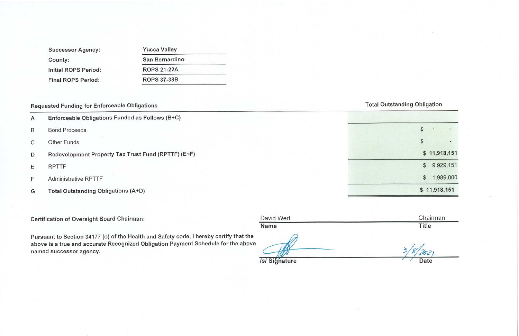| <b>Successor Agency:</b>  |
|---------------------------|
| County:                   |
| Initial ROPS Period:      |
| <b>Final ROPS Period:</b> |

| <b>Yucca Valley</b> |  |
|---------------------|--|
| San Bernardino      |  |
| <b>ROPS 21-22A</b>  |  |
| <b>ROPS 37-38B</b>  |  |
|                     |  |

# **Requested Funding for Enforceable Obligations**

- Enforceable Obligations Funded as Follows (B+C)  $\mathsf{A}$
- **Bond Proceeds**  $\sf B$
- **Other Funds**  $\mathcal{C}$
- Redevelopment Property Tax Trust Fund (RPTTF) (E+F) D
- **RPTTF** E
- Administrative RPTTF F
- **Total Outstanding Obligations (A+D)** G

**Certification of Oversight Board Chairman:** 

David Wert

**Name** 

Pursuant to Section 34177 (o) of the Health and Safety code, I hereby certify that the above is a true and accurate Recognized Obligation Payment Schedule for the above named successor agency.

**/s/Sighature** 

# **Total Outstanding Obligation**

| \$            |              |           |
|---------------|--------------|-----------|
| \$            |              |           |
|               | \$11,918,151 |           |
| $\frac{1}{2}$ |              | 9,929,151 |
| $\frac{1}{2}$ |              | 1,989,000 |
|               | \$11,918,151 |           |

Chairman **Title** 

**Date**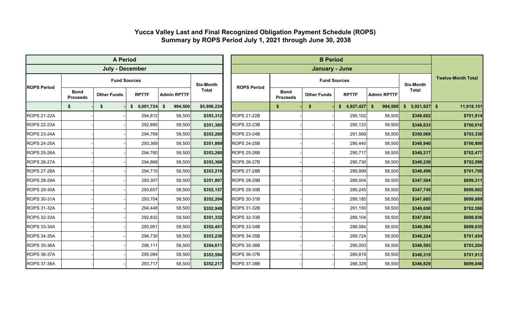# **Yucca Valley Last and Final Recognized Obligation Payment Schedule (ROPS) Summary by ROPS Period July 1, 2021 through June 30, 2038**

|                    |                                | <b>A Period</b>        |                     |                    |                  |                    | <b>B</b> Period                |                     |                                    |                           |                          |                           |  |  |         |        |           |                    |           |                    |         |        |           |           |           |           |
|--------------------|--------------------------------|------------------------|---------------------|--------------------|------------------|--------------------|--------------------------------|---------------------|------------------------------------|---------------------------|--------------------------|---------------------------|--|--|---------|--------|-----------|--------------------|-----------|--------------------|---------|--------|-----------|-----------|-----------|-----------|
|                    |                                | <b>July - December</b> |                     |                    |                  |                    |                                | January - June      |                                    |                           |                          |                           |  |  |         |        |           |                    |           |                    |         |        |           |           |           |           |
|                    |                                |                        | <b>Fund Sources</b> |                    | <b>Six-Month</b> |                    |                                | <b>Fund Sources</b> | <b>Six-Month</b>                   | <b>Twelve-Month Total</b> |                          |                           |  |  |         |        |           |                    |           |                    |         |        |           |           |           |           |
| <b>ROPS Period</b> | <b>Bond</b><br><b>Proceeds</b> | <b>Other Funds</b>     | <b>RPTTF</b>        | <b>Admin RPTTF</b> | <b>Total</b>     | <b>ROPS Period</b> | <b>Bond</b><br><b>Proceeds</b> | <b>Other Funds</b>  | <b>RPTTF</b><br><b>Admin RPTTF</b> |                           | <b>Total</b>             |                           |  |  |         |        |           |                    |           |                    |         |        |           |           |           |           |
|                    | \$                             | \$                     | \$5,001,724         | 994,500<br>\$      | \$5,996,224      |                    | \$                             | \$                  | \$4,927,427                        | \$<br>994,500             | 5,921,927<br>$$^{\circ}$ | 11,918,151<br>$$^{\circ}$ |  |  |         |        |           |                    |           |                    |         |        |           |           |           |           |
| <b>ROPS 21-22A</b> |                                |                        | 294,812             | 58,500             | \$353,312        | <b>ROPS 21-22B</b> |                                |                     | 290,102                            | 58,500                    | \$348,602                | \$701,914                 |  |  |         |        |           |                    |           |                    |         |        |           |           |           |           |
| <b>ROPS 22-23A</b> |                                |                        | 292,885             | 58,500             | \$351,385        | <b>ROPS 22-23B</b> |                                |                     | 290,133                            | 58,500                    | \$348,633                | \$700,018                 |  |  |         |        |           |                    |           |                    |         |        |           |           |           |           |
| <b>ROPS 23-24A</b> |                                |                        |                     |                    |                  |                    |                                |                     |                                    |                           |                          |                           |  |  | 294,769 | 58,500 | \$353,269 | <b>ROPS 23-24B</b> |           |                    | 291,569 | 58,500 | \$350,069 | \$703,338 |           |           |
| <b>ROPS 24-25A</b> |                                |                        |                     |                    |                  |                    |                                |                     | 293,369                            | 58,500                    | \$351,869                | <b>ROPS 24-25B</b>        |  |  | 290,440 | 58,500 | \$348,940 | \$700,809          |           |                    |         |        |           |           |           |           |
| <b>ROPS 25-26A</b> |                                |                        |                     |                    |                  |                    |                                |                     |                                    |                           |                          |                           |  |  |         |        | 294,760   | 58,500             | \$353,260 | <b>ROPS 25-26B</b> |         |        | 290,717   | 58,500    | \$349,217 | \$702,477 |
| <b>ROPS 26-27A</b> |                                |                        | 294,868             | 58,500             | \$353,368        | <b>ROPS 26-27B</b> |                                |                     | 290,730                            | 58,500                    | \$349,230                | \$702,598                 |  |  |         |        |           |                    |           |                    |         |        |           |           |           |           |
| <b>ROPS 27-28A</b> |                                |                        | 294,710             | 58,500             | \$353,210        | <b>ROPS 27-28B</b> |                                |                     | 289,999                            | 58,500                    | \$348,499                | \$701,709                 |  |  |         |        |           |                    |           |                    |         |        |           |           |           |           |
| <b>ROPS 28-29A</b> |                                |                        | 293,307             | 58,500             | \$351,807        | <b>ROPS 28-29B</b> |                                |                     | 289,004                            | 58,500                    | \$347,504                | \$699,311                 |  |  |         |        |           |                    |           |                    |         |        |           |           |           |           |
| <b>ROPS 29-30A</b> |                                |                        | 293,657             | 58,500             | \$352,157        | <b>ROPS 29-30B</b> |                                |                     | 289,245                            | 58,500                    | \$347,745                | \$699,902                 |  |  |         |        |           |                    |           |                    |         |        |           |           |           |           |
| ROPS 30-31A        |                                |                        | 293,704             | 58,500             | \$352,204        | <b>ROPS 30-31B</b> |                                |                     | 289,185                            | 58,500                    | \$347,685                | \$699,889                 |  |  |         |        |           |                    |           |                    |         |        |           |           |           |           |
| <b>ROPS 31-32A</b> |                                |                        | 294,448             | 58,500             | \$352,948        | <b>ROPS 31-32B</b> |                                |                     | 291,150                            | 58,500                    | \$349,650                | \$702,598                 |  |  |         |        |           |                    |           |                    |         |        |           |           |           |           |
| ROPS 32-33A        |                                |                        | 292,832             | 58,500             | \$351,332        | ROPS 32-33B        |                                |                     | 289,104                            | 58,500                    | \$347,604                | \$698,936                 |  |  |         |        |           |                    |           |                    |         |        |           |           |           |           |
| <b>ROPS 33-34A</b> |                                |                        | 293,951             | 58,500             | \$352,451        | <b>ROPS 33-34B</b> |                                |                     | 288,084                            | 58,500                    | \$346,584                | \$699,035                 |  |  |         |        |           |                    |           |                    |         |        |           |           |           |           |
| <b>ROPS 34-35A</b> |                                |                        | 294,730             | 58,500             | \$353,230        | <b>ROPS 34-35B</b> |                                |                     | 289,724                            | 58,500                    | \$348,224                | \$701,454                 |  |  |         |        |           |                    |           |                    |         |        |           |           |           |           |
| <b>ROPS 35-36A</b> |                                |                        | 296,111             | 58,500             | \$354,611        | <b>ROPS 35-36B</b> |                                |                     | 290,093                            | 58,500                    | \$348,593                | \$703,204                 |  |  |         |        |           |                    |           |                    |         |        |           |           |           |           |
| <b>ROPS 36-37A</b> |                                |                        | 295,094             | 58,500             | \$353,594        | <b>ROPS 36-37B</b> |                                |                     | 289,819                            | 58,500                    | \$348,319                | \$701,913                 |  |  |         |        |           |                    |           |                    |         |        |           |           |           |           |
| <b>ROPS 37-38A</b> |                                |                        | 293,717             | 58,500             | \$352,217        | <b>ROPS 37-38B</b> |                                |                     | 288,329                            | 58,500                    | \$346,829                | \$699,046                 |  |  |         |        |           |                    |           |                    |         |        |           |           |           |           |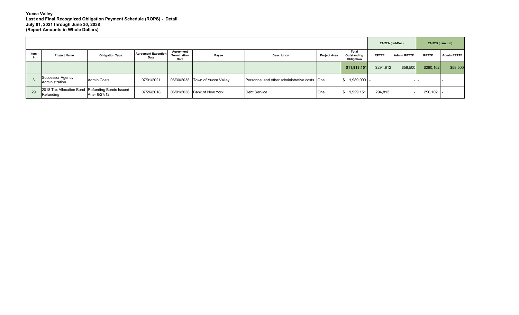|      |                                                              |                        |                                    |                                  |                             |                                              |                                                           |                       |              | 21-22A (Jul-Dec)   | 21-22B (Jan-Jun) |                    |  |
|------|--------------------------------------------------------------|------------------------|------------------------------------|----------------------------------|-----------------------------|----------------------------------------------|-----------------------------------------------------------|-----------------------|--------------|--------------------|------------------|--------------------|--|
| Item | <b>Project Name</b>                                          | <b>Obligation Type</b> | <b>Agreement Execution</b><br>Date | Agreement<br>Termination<br>Date | Payee                       | <b>Description</b>                           | Total<br><b>Project Area</b><br>Outstanding<br>Obligation |                       | <b>RPTTF</b> | <b>Admin RPTTF</b> | <b>RPTTF</b>     | <b>Admin RPTTF</b> |  |
|      |                                                              |                        |                                    |                                  |                             |                                              |                                                           | \$11,918,151          | \$294,812    | \$58,500           | \$290,102        | \$58,500           |  |
|      | Successor Agency<br><b>Administration</b>                    | <b>Admin Costs</b>     | 07/01/2021                         | 06/30/2038                       | Town of Yucca Valley        | Personnel and other administrative costs One |                                                           | 1,989,000   -<br>l \$ |              |                    |                  |                    |  |
| 29   | 2018 Tax Allocation Bond Refunding Bonds Issued<br>Refunding | After 6/27/12          | 07/26/2018                         |                                  | 06/01/2038 Bank of New York | Debt Service                                 | One                                                       | 9,929,151<br>l J      | 294,812      |                    | $290,102$  -     |                    |  |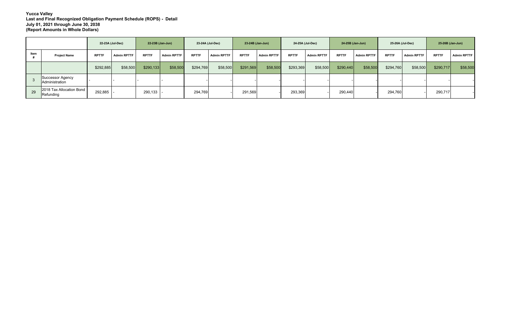|      |                                           | 22-23A (Jul-Dec) |                    | 22-23B (Jan-Jun)    |                    | 23-24A (Jul-Dec) |                    | 23-24B (Jan-Jun) |                    | 24-25A (Jul-Dec) |                    | 24-25B (Jan-Jun) |                    | 25-26A (Jul-Dec) |                    | 25-26B (Jan-Jun) |                    |
|------|-------------------------------------------|------------------|--------------------|---------------------|--------------------|------------------|--------------------|------------------|--------------------|------------------|--------------------|------------------|--------------------|------------------|--------------------|------------------|--------------------|
| Item | <b>Project Name</b>                       | <b>RPTTF</b>     | <b>Admin RPTTF</b> | <b>RPTTF</b>        | <b>Admin RPTTF</b> | <b>RPTTF</b>     | <b>Admin RPTTF</b> | <b>RPTTF</b>     | <b>Admin RPTTF</b> | <b>RPTTF</b>     | <b>Admin RPTTF</b> | <b>RPTTF</b>     | <b>Admin RPTTF</b> | <b>RPTTF</b>     | <b>Admin RPTTF</b> | <b>RPTTF</b>     | <b>Admin RPTTF</b> |
|      |                                           | \$292,885        | \$58,500           | \$290,133           | \$58,500           | \$294,769        | \$58,500           | \$291,569        | \$58,500           | \$293,369        | \$58,500           | \$290,440        | \$58,500           | \$294,760        | \$58,500           | \$290,717        | \$58,500           |
|      | Successor Agency<br><b>Administration</b> |                  |                    |                     |                    |                  |                    |                  |                    |                  |                    |                  |                    |                  |                    |                  |                    |
| 29   | 2018 Tax Allocation Bond<br>Refunding     | 292,885          |                    | $290,133$ $\vert$ - |                    | 294,769          |                    | 291,569          |                    | 293,369          |                    | 290,440          |                    | 294,760          |                    | 290,717          |                    |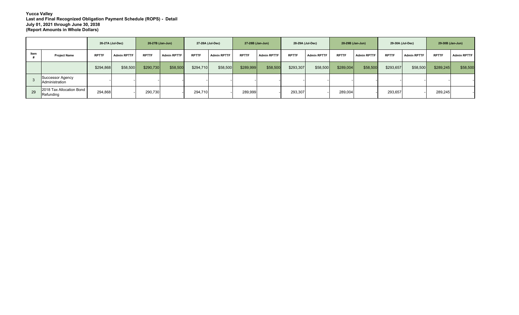|      |                                           | 26-27A (Jul-Dec) |                    | 26-27B (Jan-Jun) |                    | 27-28A (Jul-Dec) |                    | 27-28B (Jan-Jun) |                    | 28-29A (Jul-Dec) |                    | 28-29B (Jan-Jun) |                    | 29-30A (Jul-Dec) |                    | 29-30B (Jan-Jun) |                    |
|------|-------------------------------------------|------------------|--------------------|------------------|--------------------|------------------|--------------------|------------------|--------------------|------------------|--------------------|------------------|--------------------|------------------|--------------------|------------------|--------------------|
| Item | <b>Project Name</b>                       | <b>RPTTF</b>     | <b>Admin RPTTF</b> | <b>RPTTF</b>     | <b>Admin RPTTF</b> | <b>RPTTF</b>     | <b>Admin RPTTF</b> | <b>RPTTF</b>     | <b>Admin RPTTF</b> | <b>RPTTF</b>     | <b>Admin RPTTF</b> | <b>RPTTF</b>     | <b>Admin RPTTF</b> | <b>RPTTF</b>     | <b>Admin RPTTF</b> | <b>RPTTF</b>     | <b>Admin RPTTF</b> |
|      |                                           | \$294,868        | \$58,500           | \$290,730        | \$58,500           | \$294,710        | \$58,500           | \$289,999        | \$58,500           | \$293,307        | \$58,500           | \$289,004        | \$58,500           | \$293,657        | \$58,500           | \$289,245        | \$58,500           |
|      | Successor Agency<br><b>Administration</b> |                  |                    |                  |                    |                  |                    |                  |                    |                  |                    |                  |                    |                  |                    |                  |                    |
| 29   | 2018 Tax Allocation Bond<br>Refunding     | 294,868          |                    | 290,730          |                    | 294,710          |                    | 289,999          |                    | 293,307          |                    | 289,004          |                    | 293,657          |                    | 289,245          |                    |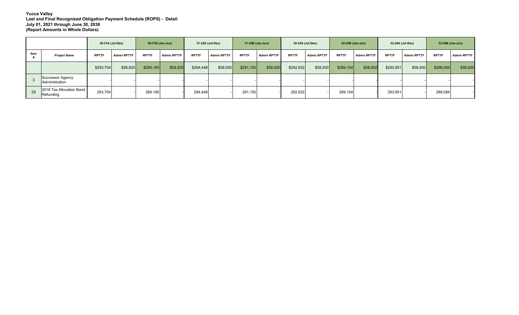|      |                                           | 30-31A (Jul-Dec) |                    | 30-31B (Jan-Jun) |                    | 31-32A (Jul-Dec) |                    | 31-32B (Jan-Jun) |                    | 32-33A (Jul-Dec) |                    | 32-33B (Jan-Jun) |                    | 33-34A (Jul-Dec) |                    | 33-34B (Jan-Jun) |                    |
|------|-------------------------------------------|------------------|--------------------|------------------|--------------------|------------------|--------------------|------------------|--------------------|------------------|--------------------|------------------|--------------------|------------------|--------------------|------------------|--------------------|
| Item | <b>Project Name</b>                       | <b>RPTTF</b>     | <b>Admin RPTTF</b> | <b>RPTTF</b>     | <b>Admin RPTTF</b> | <b>RPTTF</b>     | <b>Admin RPTTF</b> | <b>RPTTF</b>     | <b>Admin RPTTF</b> | <b>RPTTF</b>     | <b>Admin RPTTF</b> | <b>RPTTF</b>     | <b>Admin RPTTF</b> | <b>RPTTF</b>     | <b>Admin RPTTF</b> | <b>RPTTF</b>     | <b>Admin RPTTF</b> |
|      |                                           | \$293,704        | \$58,500           | \$289,185        | \$58,500           | \$294,448        | \$58,500           | \$291,150        | \$58,500           | \$292,832        | \$58,500           | \$289,104        | \$58,500           | \$293,951        | \$58,500           | \$288,084        | \$58,500           |
|      | Successor Agency<br><b>Administration</b> |                  |                    |                  |                    |                  |                    |                  |                    |                  |                    |                  |                    |                  |                    |                  |                    |
| 29   | 2018 Tax Allocation Bond<br>Refunding     | 293,704          |                    | 289,185          |                    | 294,448          |                    | 291,150          |                    | 292,832          |                    | 289,104          |                    | 293,951          |                    | 288,084          |                    |